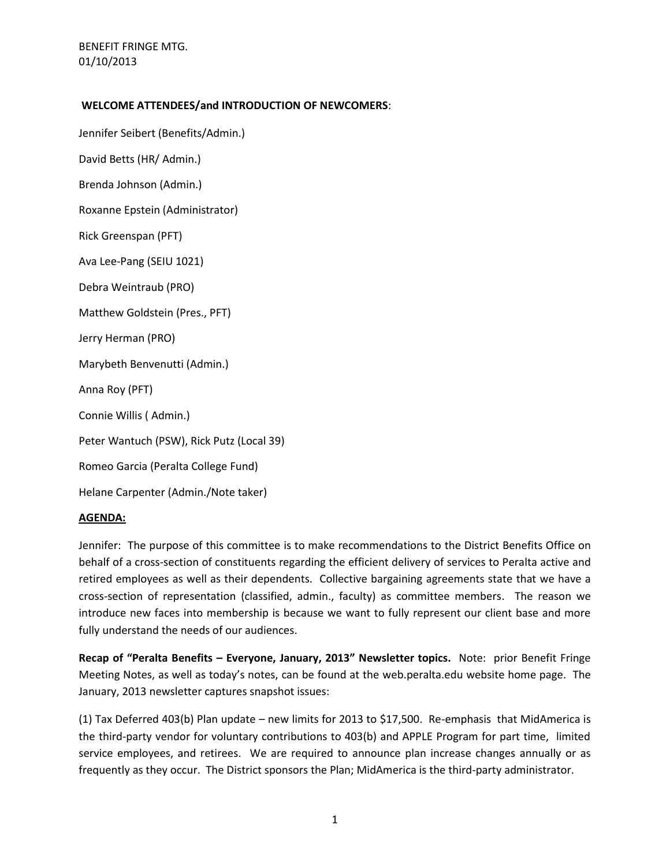### **WELCOME ATTENDEES/and INTRODUCTION OF NEWCOMERS**:

Jennifer Seibert (Benefits/Admin.) David Betts (HR/ Admin.) Brenda Johnson (Admin.) Roxanne Epstein (Administrator) Rick Greenspan (PFT) Ava Lee-Pang (SEIU 1021) Debra Weintraub (PRO) Matthew Goldstein (Pres., PFT) Jerry Herman (PRO) Marybeth Benvenutti (Admin.) Anna Roy (PFT) Connie Willis ( Admin.) Peter Wantuch (PSW), Rick Putz (Local 39) Romeo Garcia (Peralta College Fund) Helane Carpenter (Admin./Note taker)

# **AGENDA:**

Jennifer: The purpose of this committee is to make recommendations to the District Benefits Office on behalf of a cross-section of constituents regarding the efficient delivery of services to Peralta active and retired employees as well as their dependents. Collective bargaining agreements state that we have a cross-section of representation (classified, admin., faculty) as committee members. The reason we introduce new faces into membership is because we want to fully represent our client base and more fully understand the needs of our audiences.

**Recap of "Peralta Benefits – Everyone, January, 2013" Newsletter topics.** Note: prior Benefit Fringe Meeting Notes, as well as today's notes, can be found at the web.peralta.edu website home page. The January, 2013 newsletter captures snapshot issues:

(1) Tax Deferred 403(b) Plan update – new limits for 2013 to \$17,500. Re-emphasis that MidAmerica is the third-party vendor for voluntary contributions to 403(b) and APPLE Program for part time, limited service employees, and retirees. We are required to announce plan increase changes annually or as frequently as they occur. The District sponsors the Plan; MidAmerica is the third-party administrator.

1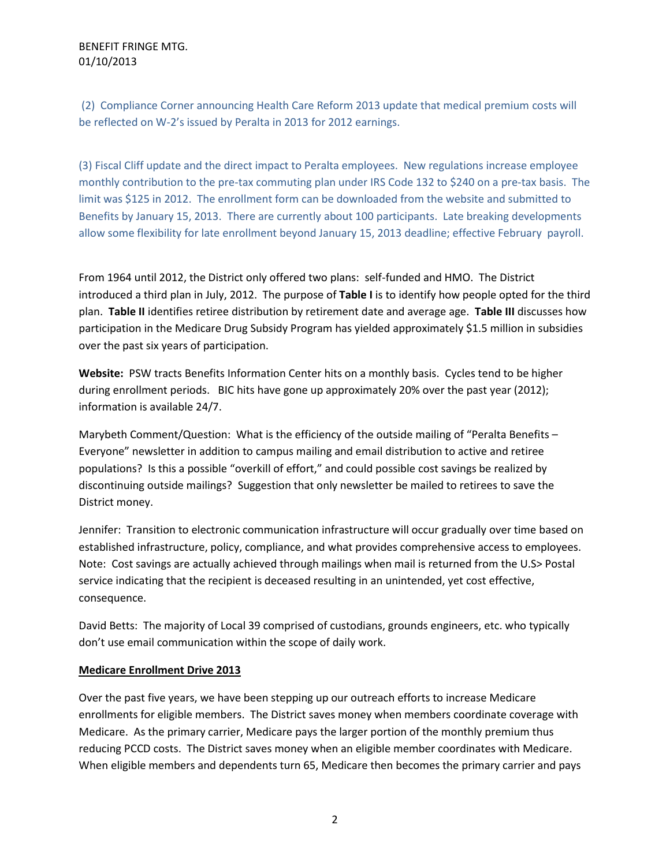(2) Compliance Corner announcing Health Care Reform 2013 update that medical premium costs will be reflected on W-2's issued by Peralta in 2013 for 2012 earnings.

(3) Fiscal Cliff update and the direct impact to Peralta employees. New regulations increase employee monthly contribution to the pre-tax commuting plan under IRS Code 132 to \$240 on a pre-tax basis. The limit was \$125 in 2012. The enrollment form can be downloaded from the website and submitted to Benefits by January 15, 2013. There are currently about 100 participants. Late breaking developments allow some flexibility for late enrollment beyond January 15, 2013 deadline; effective February payroll.

From 1964 until 2012, the District only offered two plans: self-funded and HMO. The District introduced a third plan in July, 2012. The purpose of **Table I** is to identify how people opted for the third plan. **Table II** identifies retiree distribution by retirement date and average age. **Table III** discusses how participation in the Medicare Drug Subsidy Program has yielded approximately \$1.5 million in subsidies over the past six years of participation.

**Website:** PSW tracts Benefits Information Center hits on a monthly basis. Cycles tend to be higher during enrollment periods. BIC hits have gone up approximately 20% over the past year (2012); information is available 24/7.

Marybeth Comment/Question: What is the efficiency of the outside mailing of "Peralta Benefits -Everyone" newsletter in addition to campus mailing and email distribution to active and retiree populations? Is this a possible "overkill of effort," and could possible cost savings be realized by discontinuing outside mailings? Suggestion that only newsletter be mailed to retirees to save the District money.

Jennifer: Transition to electronic communication infrastructure will occur gradually over time based on established infrastructure, policy, compliance, and what provides comprehensive access to employees. Note: Cost savings are actually achieved through mailings when mail is returned from the U.S> Postal service indicating that the recipient is deceased resulting in an unintended, yet cost effective, consequence.

David Betts: The majority of Local 39 comprised of custodians, grounds engineers, etc. who typically don't use email communication within the scope of daily work.

# **Medicare Enrollment Drive 2013**

Over the past five years, we have been stepping up our outreach efforts to increase Medicare enrollments for eligible members. The District saves money when members coordinate coverage with Medicare. As the primary carrier, Medicare pays the larger portion of the monthly premium thus reducing PCCD costs. The District saves money when an eligible member coordinates with Medicare. When eligible members and dependents turn 65, Medicare then becomes the primary carrier and pays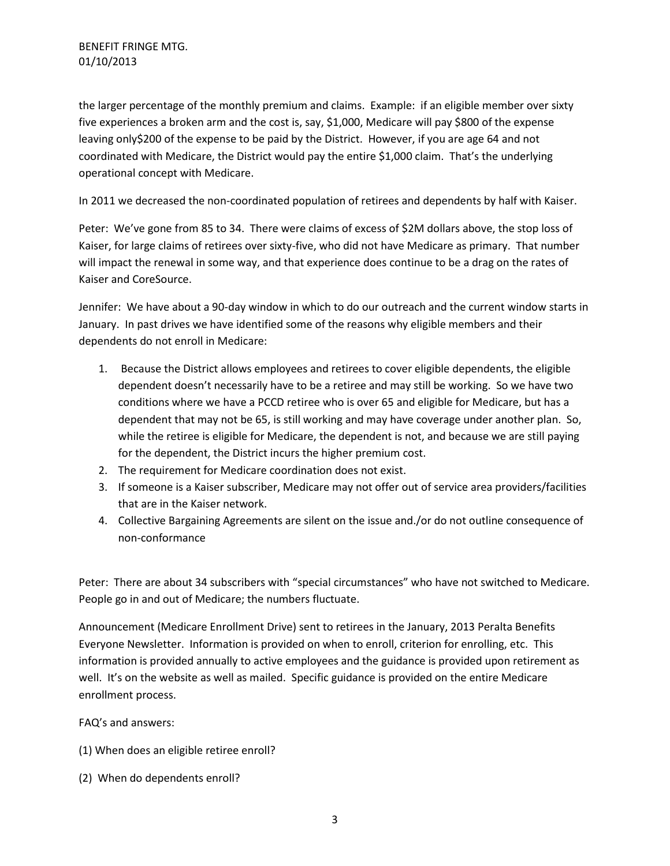the larger percentage of the monthly premium and claims. Example: if an eligible member over sixty five experiences a broken arm and the cost is, say, \$1,000, Medicare will pay \$800 of the expense leaving only\$200 of the expense to be paid by the District. However, if you are age 64 and not coordinated with Medicare, the District would pay the entire \$1,000 claim. That's the underlying operational concept with Medicare.

In 2011 we decreased the non-coordinated population of retirees and dependents by half with Kaiser.

Peter: We've gone from 85 to 34. There were claims of excess of \$2M dollars above, the stop loss of Kaiser, for large claims of retirees over sixty-five, who did not have Medicare as primary. That number will impact the renewal in some way, and that experience does continue to be a drag on the rates of Kaiser and CoreSource.

Jennifer: We have about a 90-day window in which to do our outreach and the current window starts in January. In past drives we have identified some of the reasons why eligible members and their dependents do not enroll in Medicare:

- 1. Because the District allows employees and retirees to cover eligible dependents, the eligible dependent doesn't necessarily have to be a retiree and may still be working. So we have two conditions where we have a PCCD retiree who is over 65 and eligible for Medicare, but has a dependent that may not be 65, is still working and may have coverage under another plan. So, while the retiree is eligible for Medicare, the dependent is not, and because we are still paying for the dependent, the District incurs the higher premium cost.
- 2. The requirement for Medicare coordination does not exist.
- 3. If someone is a Kaiser subscriber, Medicare may not offer out of service area providers/facilities that are in the Kaiser network.
- 4. Collective Bargaining Agreements are silent on the issue and./or do not outline consequence of non-conformance

Peter: There are about 34 subscribers with "special circumstances" who have not switched to Medicare. People go in and out of Medicare; the numbers fluctuate.

Announcement (Medicare Enrollment Drive) sent to retirees in the January, 2013 Peralta Benefits Everyone Newsletter. Information is provided on when to enroll, criterion for enrolling, etc. This information is provided annually to active employees and the guidance is provided upon retirement as well. It's on the website as well as mailed. Specific guidance is provided on the entire Medicare enrollment process.

FAQ's and answers:

- (1) When does an eligible retiree enroll?
- (2) When do dependents enroll?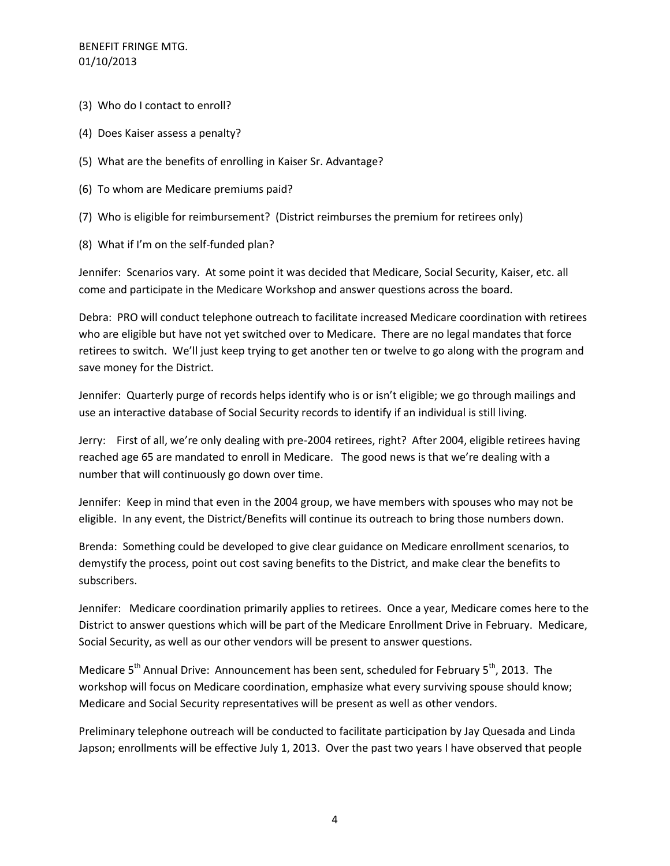- (3) Who do I contact to enroll?
- (4) Does Kaiser assess a penalty?
- (5) What are the benefits of enrolling in Kaiser Sr. Advantage?
- (6) To whom are Medicare premiums paid?
- (7) Who is eligible for reimbursement? (District reimburses the premium for retirees only)
- (8) What if I'm on the self-funded plan?

Jennifer: Scenarios vary. At some point it was decided that Medicare, Social Security, Kaiser, etc. all come and participate in the Medicare Workshop and answer questions across the board.

Debra: PRO will conduct telephone outreach to facilitate increased Medicare coordination with retirees who are eligible but have not yet switched over to Medicare. There are no legal mandates that force retirees to switch. We'll just keep trying to get another ten or twelve to go along with the program and save money for the District.

Jennifer: Quarterly purge of records helps identify who is or isn't eligible; we go through mailings and use an interactive database of Social Security records to identify if an individual is still living.

Jerry: First of all, we're only dealing with pre-2004 retirees, right? After 2004, eligible retirees having reached age 65 are mandated to enroll in Medicare. The good news is that we're dealing with a number that will continuously go down over time.

Jennifer: Keep in mind that even in the 2004 group, we have members with spouses who may not be eligible. In any event, the District/Benefits will continue its outreach to bring those numbers down.

Brenda: Something could be developed to give clear guidance on Medicare enrollment scenarios, to demystify the process, point out cost saving benefits to the District, and make clear the benefits to subscribers.

Jennifer: Medicare coordination primarily applies to retirees. Once a year, Medicare comes here to the District to answer questions which will be part of the Medicare Enrollment Drive in February. Medicare, Social Security, as well as our other vendors will be present to answer questions.

Medicare  $5<sup>th</sup>$  Annual Drive: Announcement has been sent, scheduled for February  $5<sup>th</sup>$ , 2013. The workshop will focus on Medicare coordination, emphasize what every surviving spouse should know; Medicare and Social Security representatives will be present as well as other vendors.

Preliminary telephone outreach will be conducted to facilitate participation by Jay Quesada and Linda Japson; enrollments will be effective July 1, 2013. Over the past two years I have observed that people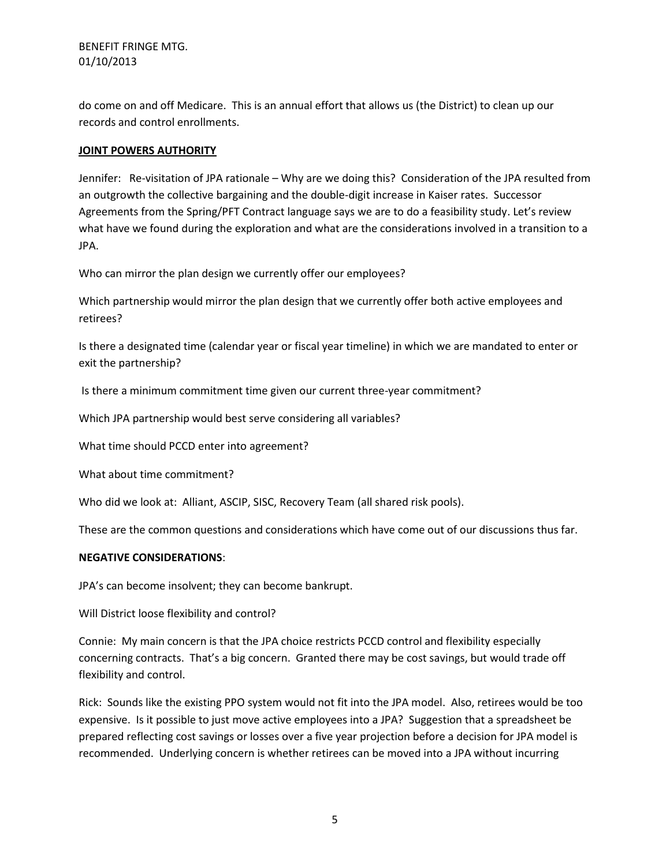do come on and off Medicare. This is an annual effort that allows us (the District) to clean up our records and control enrollments.

### **JOINT POWERS AUTHORITY**

Jennifer: Re-visitation of JPA rationale – Why are we doing this? Consideration of the JPA resulted from an outgrowth the collective bargaining and the double-digit increase in Kaiser rates. Successor Agreements from the Spring/PFT Contract language says we are to do a feasibility study. Let's review what have we found during the exploration and what are the considerations involved in a transition to a JPA.

Who can mirror the plan design we currently offer our employees?

Which partnership would mirror the plan design that we currently offer both active employees and retirees?

Is there a designated time (calendar year or fiscal year timeline) in which we are mandated to enter or exit the partnership?

Is there a minimum commitment time given our current three-year commitment?

Which JPA partnership would best serve considering all variables?

What time should PCCD enter into agreement?

What about time commitment?

Who did we look at: Alliant, ASCIP, SISC, Recovery Team (all shared risk pools).

These are the common questions and considerations which have come out of our discussions thus far.

#### **NEGATIVE CONSIDERATIONS**:

JPA's can become insolvent; they can become bankrupt.

Will District loose flexibility and control?

Connie: My main concern is that the JPA choice restricts PCCD control and flexibility especially concerning contracts. That's a big concern. Granted there may be cost savings, but would trade off flexibility and control.

Rick: Sounds like the existing PPO system would not fit into the JPA model. Also, retirees would be too expensive. Is it possible to just move active employees into a JPA? Suggestion that a spreadsheet be prepared reflecting cost savings or losses over a five year projection before a decision for JPA model is recommended. Underlying concern is whether retirees can be moved into a JPA without incurring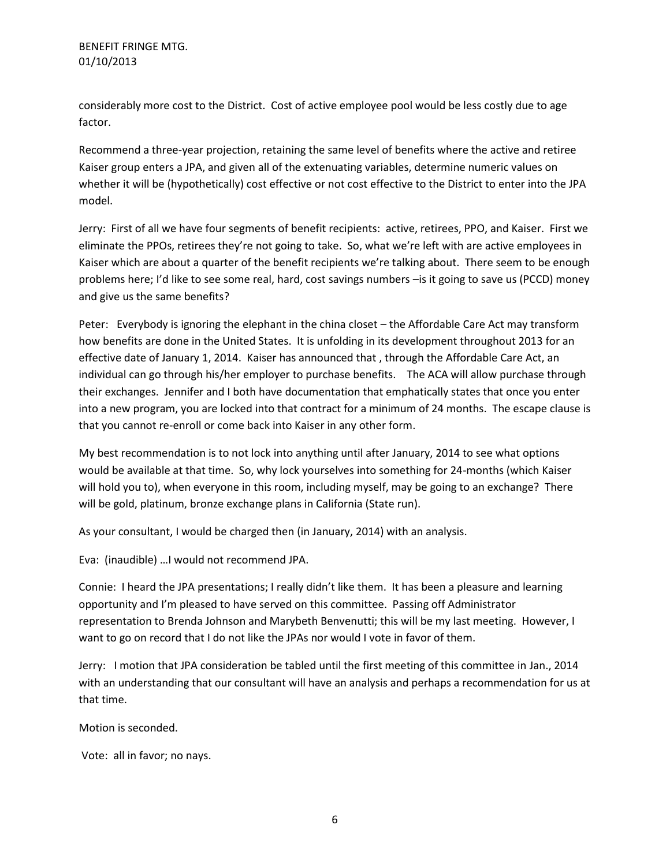considerably more cost to the District. Cost of active employee pool would be less costly due to age factor.

Recommend a three-year projection, retaining the same level of benefits where the active and retiree Kaiser group enters a JPA, and given all of the extenuating variables, determine numeric values on whether it will be (hypothetically) cost effective or not cost effective to the District to enter into the JPA model.

Jerry: First of all we have four segments of benefit recipients: active, retirees, PPO, and Kaiser. First we eliminate the PPOs, retirees they're not going to take. So, what we're left with are active employees in Kaiser which are about a quarter of the benefit recipients we're talking about. There seem to be enough problems here; I'd like to see some real, hard, cost savings numbers –is it going to save us (PCCD) money and give us the same benefits?

Peter: Everybody is ignoring the elephant in the china closet – the Affordable Care Act may transform how benefits are done in the United States. It is unfolding in its development throughout 2013 for an effective date of January 1, 2014. Kaiser has announced that , through the Affordable Care Act, an individual can go through his/her employer to purchase benefits. The ACA will allow purchase through their exchanges. Jennifer and I both have documentation that emphatically states that once you enter into a new program, you are locked into that contract for a minimum of 24 months. The escape clause is that you cannot re-enroll or come back into Kaiser in any other form.

My best recommendation is to not lock into anything until after January, 2014 to see what options would be available at that time. So, why lock yourselves into something for 24-months (which Kaiser will hold you to), when everyone in this room, including myself, may be going to an exchange? There will be gold, platinum, bronze exchange plans in California (State run).

As your consultant, I would be charged then (in January, 2014) with an analysis.

Eva: (inaudible) …I would not recommend JPA.

Connie: I heard the JPA presentations; I really didn't like them. It has been a pleasure and learning opportunity and I'm pleased to have served on this committee. Passing off Administrator representation to Brenda Johnson and Marybeth Benvenutti; this will be my last meeting. However, I want to go on record that I do not like the JPAs nor would I vote in favor of them.

Jerry: I motion that JPA consideration be tabled until the first meeting of this committee in Jan., 2014 with an understanding that our consultant will have an analysis and perhaps a recommendation for us at that time.

Motion is seconded.

Vote: all in favor; no nays.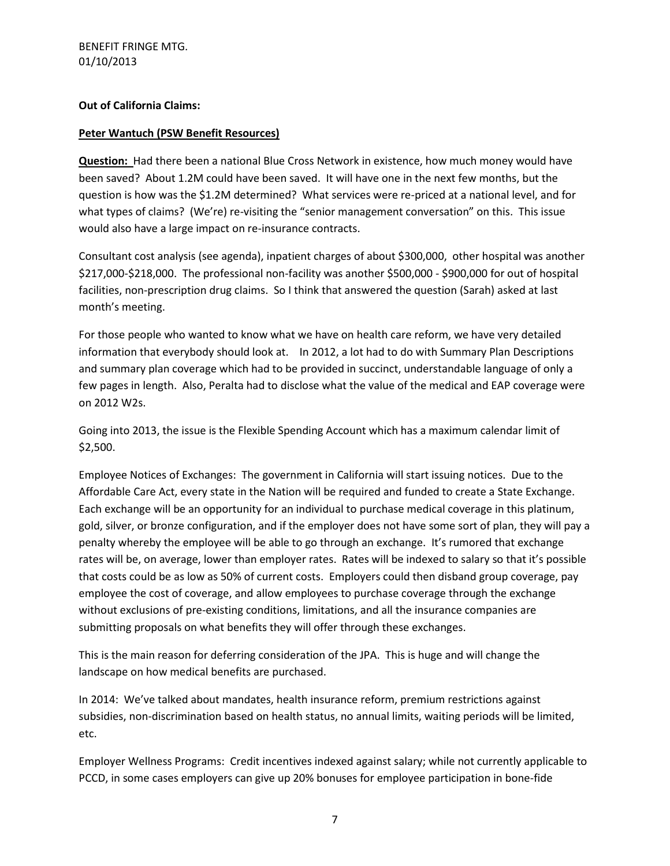### **Out of California Claims:**

### **Peter Wantuch (PSW Benefit Resources)**

**Question:** Had there been a national Blue Cross Network in existence, how much money would have been saved? About 1.2M could have been saved. It will have one in the next few months, but the question is how was the \$1.2M determined? What services were re-priced at a national level, and for what types of claims? (We're) re-visiting the "senior management conversation" on this. This issue would also have a large impact on re-insurance contracts.

Consultant cost analysis (see agenda), inpatient charges of about \$300,000, other hospital was another \$217,000-\$218,000. The professional non-facility was another \$500,000 - \$900,000 for out of hospital facilities, non-prescription drug claims. So I think that answered the question (Sarah) asked at last month's meeting.

For those people who wanted to know what we have on health care reform, we have very detailed information that everybody should look at. In 2012, a lot had to do with Summary Plan Descriptions and summary plan coverage which had to be provided in succinct, understandable language of only a few pages in length. Also, Peralta had to disclose what the value of the medical and EAP coverage were on 2012 W2s.

Going into 2013, the issue is the Flexible Spending Account which has a maximum calendar limit of \$2,500.

Employee Notices of Exchanges: The government in California will start issuing notices. Due to the Affordable Care Act, every state in the Nation will be required and funded to create a State Exchange. Each exchange will be an opportunity for an individual to purchase medical coverage in this platinum, gold, silver, or bronze configuration, and if the employer does not have some sort of plan, they will pay a penalty whereby the employee will be able to go through an exchange. It's rumored that exchange rates will be, on average, lower than employer rates. Rates will be indexed to salary so that it's possible that costs could be as low as 50% of current costs. Employers could then disband group coverage, pay employee the cost of coverage, and allow employees to purchase coverage through the exchange without exclusions of pre-existing conditions, limitations, and all the insurance companies are submitting proposals on what benefits they will offer through these exchanges.

This is the main reason for deferring consideration of the JPA. This is huge and will change the landscape on how medical benefits are purchased.

In 2014: We've talked about mandates, health insurance reform, premium restrictions against subsidies, non-discrimination based on health status, no annual limits, waiting periods will be limited, etc.

Employer Wellness Programs: Credit incentives indexed against salary; while not currently applicable to PCCD, in some cases employers can give up 20% bonuses for employee participation in bone-fide